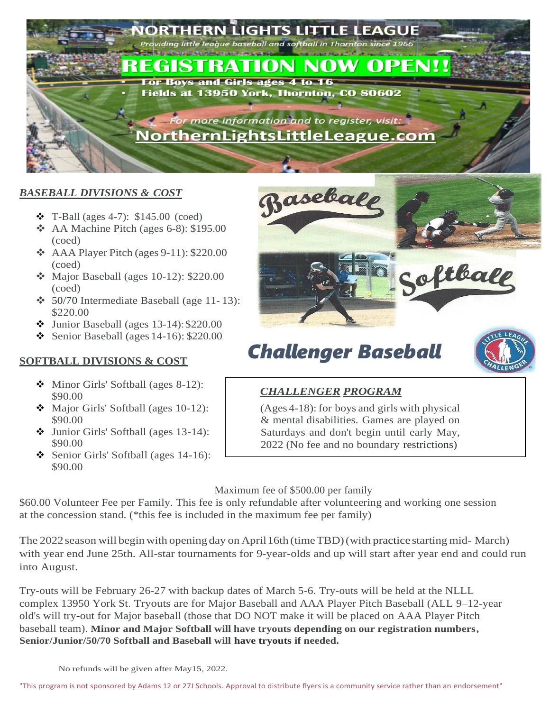

#### *BASEBALL DIVISIONS & COST*

- $\div$  T-Ball (ages 4-7): \$145.00 (coed)
- $\triangleleft$  AA Machine Pitch (ages 6-8): \$195.00 (coed)
- $\triangle$  AAA Player Pitch (ages 9-11): \$220.00 (coed)
- $\div$  Major Baseball (ages 10-12): \$220.00 (coed)
- $\div$  50/70 Intermediate Baseball (age 11-13): \$220.00
- $\bullet$  Junior Baseball (ages 13-14): \$220.00
- Senior Baseball (ages  $14-16$ ): \$220.00

#### **SOFTBALL DIVISIONS & COST**

- $\bullet$  Minor Girls' Softball (ages 8-12): \$90.00
- Major Girls' Softball (ages 10-12): \$90.00
- Junior Girls' Softball (ages 13-14): \$90.00
- Senior Girls' Softball (ages  $14-16$ ): \$90.00



# *Challenger Baseball*



#### *CHALLENGER PROGRAM*

(Ages 4-18): for boys and girls with physical & mental disabilities. Games are played on Saturdays and don't begin until early May, 2022 (No fee and no boundary restrictions)

#### Maximum fee of \$500.00 per family

\$60.00 Volunteer Fee per Family. This fee is only refundable after volunteering and working one session at the concession stand. (\*this fee is included in the maximum fee per family)

The 2022 season will begin with opening day on April 16th (time TBD) (with practice starting mid- March) with year end June 25th. All-star tournaments for 9-year-olds and up will start after year end and could run into August.

Try-outs will be February 26-27 with backup dates of March 5-6. Try-outs will be held at the NLLL complex 13950 York St. Tryouts are for Major Baseball and AAA Player Pitch Baseball (ALL 9–12-year old's will try-out for Major baseball (those that DO NOT make it will be placed on AAA Player Pitch baseball team). **Minor and Major Softball will have tryouts depending on our registration numbers, Senior/Junior/50/70 Softball and Baseball will have tryouts if needed.**

No refunds will be given after May15, 2022.